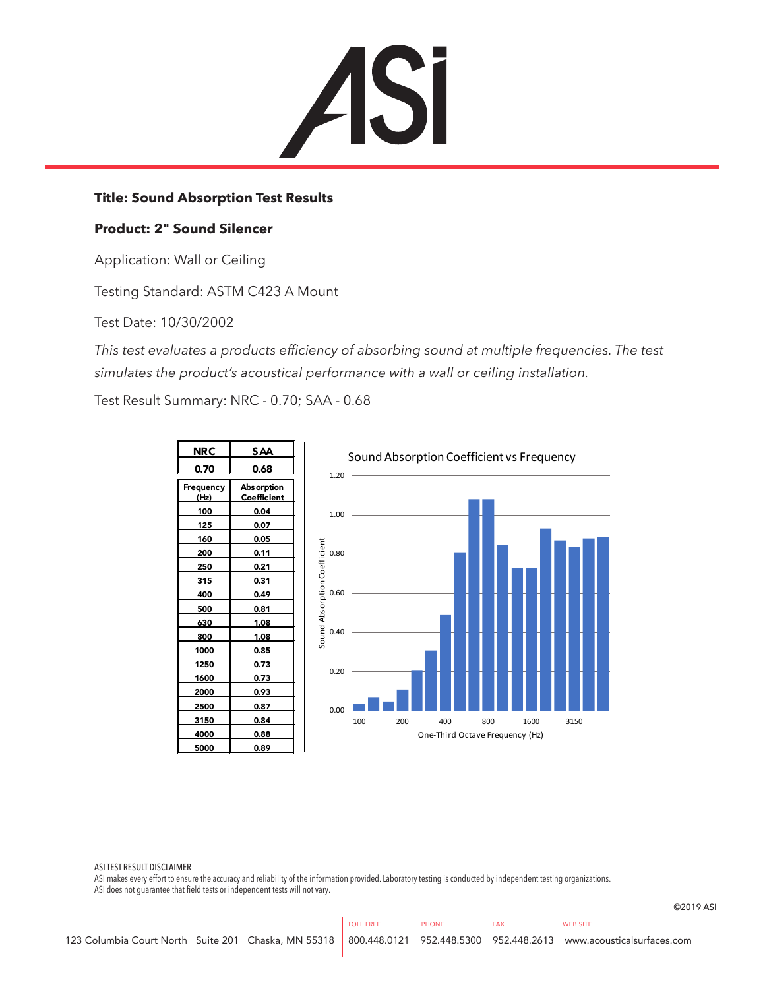

## **Title: Sound Absorption Test Results**

## **Product: 2" Sound Silencer**

Application: Wall or Ceiling

Testing Standard: ASTM C423 A Mount

Test Date: 10/30/2002

*This test evaluates a products efficiency of absorbing sound at multiple frequencies. The test simulates the product's acoustical performance with a wall or ceiling installation.*

Test Result Summary: NRC - 0.70; SAA - 0.68



ASI TEST RESULT DISCLAIMER

ASI makes every effort to ensure the accuracy and reliability of the information provided. Laboratory testing is conducted by independent testing organizations. ASI does not guarantee that field tests or independent tests will not vary.

©2019 ASI